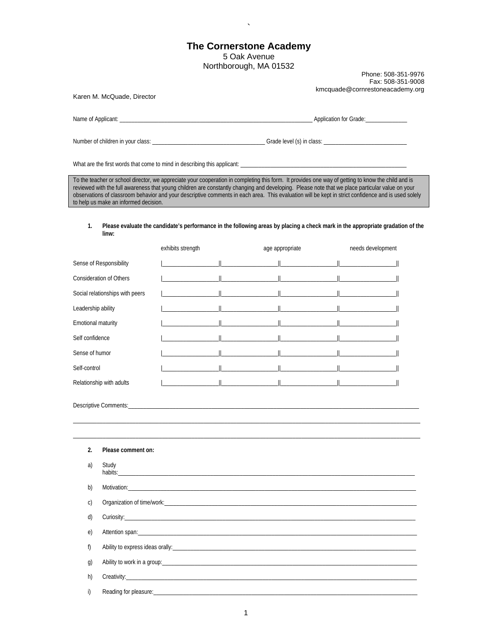## **The Cornerstone Academy**  5 Oak Avenue Northborough, MA 01532

Phone: 508-351-9976 Fax: 508-351-9008 kmcquade@cornrestoneacademy.org

Karen M. McQuade, Director

|  | Name of Applicant: | $\cdots$<br>Application for | · Grade· |
|--|--------------------|-----------------------------|----------|
|--|--------------------|-----------------------------|----------|

Number of children in your class: \_\_\_\_\_\_\_\_\_\_\_\_\_\_\_\_\_\_\_\_\_\_\_\_\_\_\_\_\_\_\_\_\_\_\_\_\_\_ Grade level (s) in class: \_\_\_\_\_\_\_\_\_\_\_\_\_\_\_\_\_\_\_\_\_\_\_\_\_\_\_\_

What are the first words that come to mind in describing this applicant: \_

`

To the teacher or school director, we appreciate your cooperation in completing this form. It provides one way of getting to know the child and is reviewed with the full awareness that young children are constantly changing and developing. Please note that we place particular value on your observations of classroom behavior and your descriptive comments in each area. This evaluation will be kept in strict confidence and is used solely to help us make an informed decision.

## **1. Please evaluate the candidate's performance in the following areas by placing a check mark in the appropriate gradation of the linw:**

|                                 | exhibits strength | age appropriate                                                                                                                                                                                                                   | needs development |
|---------------------------------|-------------------|-----------------------------------------------------------------------------------------------------------------------------------------------------------------------------------------------------------------------------------|-------------------|
| Sense of Responsibility         |                   |                                                                                                                                                                                                                                   |                   |
| <b>Consideration of Others</b>  |                   | <u> </u>                                                                                                                                                                                                                          |                   |
| Social relationships with peers |                   |                                                                                                                                                                                                                                   |                   |
| Leadership ability              |                   | $\parallel$ and the set of $\parallel$                                                                                                                                                                                            |                   |
| Emotional maturity              |                   |                                                                                                                                                                                                                                   |                   |
| Self confidence                 |                   | $\frac{1}{2}$ . The contract of the contract of the contract of the contract of the contract of the contract of the contract of the contract of the contract of the contract of the contract of the contract of the contract of t |                   |
| Sense of humor                  |                   |                                                                                                                                                                                                                                   |                   |
| Self-control                    |                   |                                                                                                                                                                                                                                   |                   |
| Relationship with adults        |                   |                                                                                                                                                                                                                                   |                   |
|                                 |                   |                                                                                                                                                                                                                                   |                   |
| 2.<br>Please comment on:        |                   |                                                                                                                                                                                                                                   |                   |
| Study<br>a)                     |                   |                                                                                                                                                                                                                                   |                   |

| b)           |  |
|--------------|--|
| C)           |  |
| d)           |  |
| e)           |  |
| f)           |  |
| $\mathbf{q}$ |  |
| h)           |  |
| i)           |  |